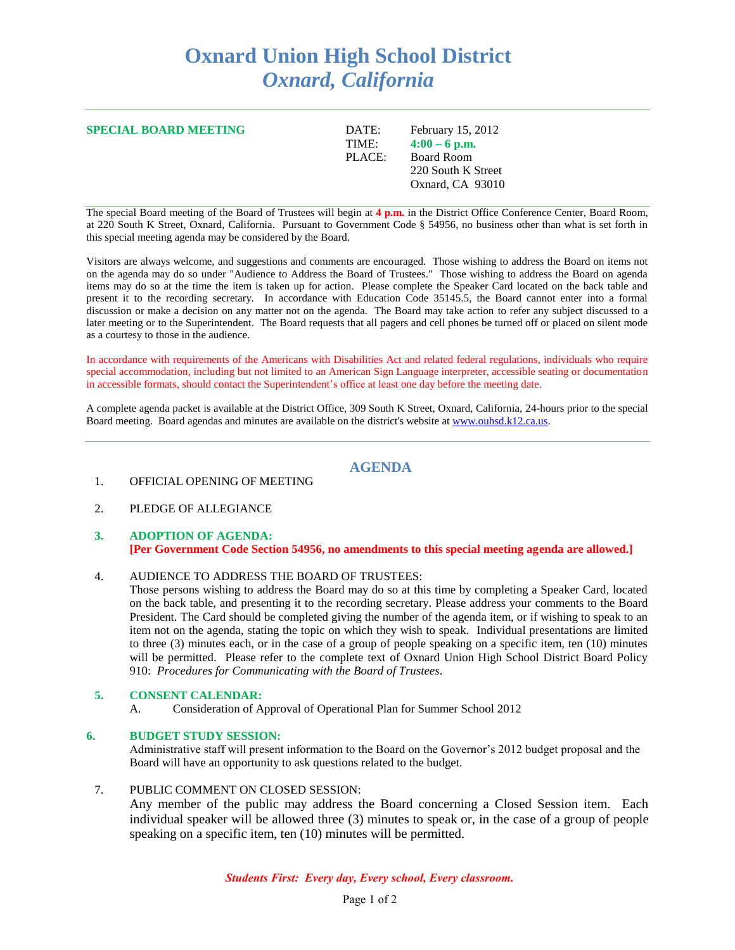# **Oxnard Union High School District** *Oxnard, California*

#### **SPECIAL BOARD MEETING** DATE: February 15, 2012

TIME:  $4:00 - 6$  p.m. PLACE: Board Room 220 South K Street Oxnard, CA 93010

The special Board meeting of the Board of Trustees will begin at **4 p.m.** in the District Office Conference Center, Board Room, at 220 South K Street, Oxnard, California. Pursuant to Government Code § 54956, no business other than what is set forth in this special meeting agenda may be considered by the Board.

Visitors are always welcome, and suggestions and comments are encouraged. Those wishing to address the Board on items not on the agenda may do so under "Audience to Address the Board of Trustees." Those wishing to address the Board on agenda items may do so at the time the item is taken up for action. Please complete the Speaker Card located on the back table and present it to the recording secretary. In accordance with Education Code 35145.5, the Board cannot enter into a formal discussion or make a decision on any matter not on the agenda. The Board may take action to refer any subject discussed to a later meeting or to the Superintendent. The Board requests that all pagers and cell phones be turned off or placed on silent mode as a courtesy to those in the audience.

In accordance with requirements of the Americans with Disabilities Act and related federal regulations, individuals who require special accommodation, including but not limited to an American Sign Language interpreter, accessible seating or documentation in accessible formats, should contact the Superintendent's office at least one day before the meeting date.

A complete agenda packet is available at the District Office, 309 South K Street, Oxnard, California, 24-hours prior to the special Board meeting. Board agendas and minutes are available on the district's website at [www.ouhsd.k12.ca.us.](http://www.ouhsd.k12.ca.us/)

## **AGENDA**

- 1. OFFICIAL OPENING OF MEETING
- 2. PLEDGE OF ALLEGIANCE

#### **3. ADOPTION OF AGENDA: [Per Government Code Section 54956, no amendments to this special meeting agenda are allowed.]**

### 4. AUDIENCE TO ADDRESS THE BOARD OF TRUSTEES:

Those persons wishing to address the Board may do so at this time by completing a Speaker Card, located on the back table, and presenting it to the recording secretary. Please address your comments to the Board President. The Card should be completed giving the number of the agenda item, or if wishing to speak to an item not on the agenda, stating the topic on which they wish to speak. Individual presentations are limited to three (3) minutes each, or in the case of a group of people speaking on a specific item, ten (10) minutes will be permitted. Please refer to the complete text of Oxnard Union High School District Board Policy 910: *Procedures for Communicating with the Board of Trustees*.

### **5. CONSENT CALENDAR:**

A. Consideration of Approval of Operational Plan for Summer School 2012

### **6. BUDGET STUDY SESSION:**

Administrative staff will present information to the Board on the Governor's 2012 budget proposal and the Board will have an opportunity to ask questions related to the budget.

#### 7. PUBLIC COMMENT ON CLOSED SESSION:

Any member of the public may address the Board concerning a Closed Session item. Each individual speaker will be allowed three (3) minutes to speak or, in the case of a group of people speaking on a specific item, ten (10) minutes will be permitted.

*Students First: Every day, Every school, Every classroom.*